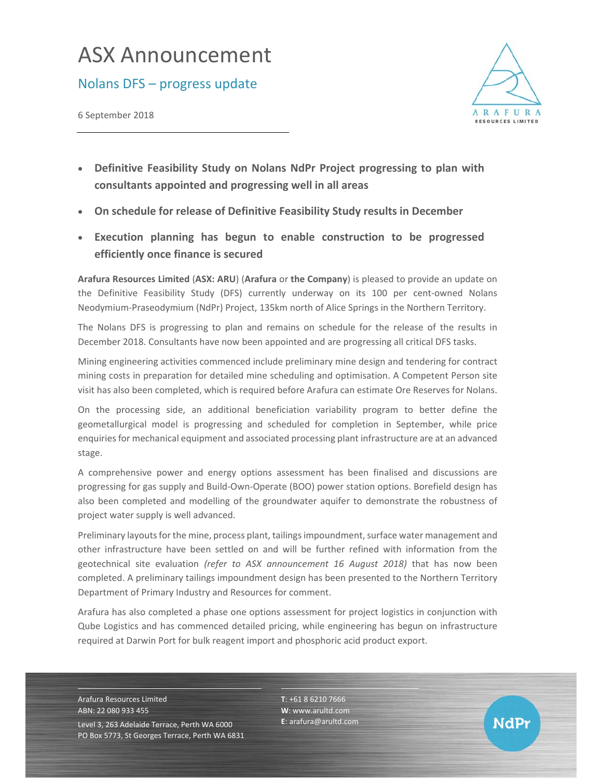## ASX Announcement

## Nolans DFS – progress update

6 September 2018



**NdPr** 

- **Definitive Feasibility Study on Nolans NdPr Project progressing to plan with consultants appointed and progressing well in all areas**
- **On schedule for release of Definitive Feasibility Study results in December**
- **Execution planning has begun to enable construction to be progressed efficiently once finance is secured**

**Arafura Resources Limited** (**ASX: ARU**) (**Arafura** or **the Company**) is pleased to provide an update on the Definitive Feasibility Study (DFS) currently underway on its 100 per cent-owned Nolans Neodymium‐Praseodymium (NdPr) Project, 135km north of Alice Springs in the Northern Territory.

The Nolans DFS is progressing to plan and remains on schedule for the release of the results in December 2018. Consultants have now been appointed and are progressing all critical DFS tasks.

Mining engineering activities commenced include preliminary mine design and tendering for contract mining costs in preparation for detailed mine scheduling and optimisation. A Competent Person site visit has also been completed, which is required before Arafura can estimate Ore Reserves for Nolans.

On the processing side, an additional beneficiation variability program to better define the geometallurgical model is progressing and scheduled for completion in September, while price enquiries for mechanical equipment and associated processing plant infrastructure are at an advanced stage.

A comprehensive power and energy options assessment has been finalised and discussions are progressing for gas supply and Build‐Own‐Operate (BOO) power station options. Borefield design has also been completed and modelling of the groundwater aquifer to demonstrate the robustness of project water supply is well advanced.

Preliminary layouts for the mine, process plant, tailings impoundment, surface water management and other infrastructure have been settled on and will be further refined with information from the geotechnical site evaluation *(refer to ASX announcement 16 August 2018)* that has now been completed. A preliminary tailings impoundment design has been presented to the Northern Territory Department of Primary Industry and Resources for comment.

Arafura has also completed a phase one options assessment for project logistics in conjunction with Qube Logistics and has commenced detailed pricing, while engineering has begun on infrastructure required at Darwin Port for bulk reagent import and phosphoric acid product export.

Arafura Resources Limited ABN: 22 080 933 455 Level 3, 263 Adelaide Terrace, Perth WA 6000 PO Box 5773, St Georges Terrace, Perth WA 6831 **T**: +61 8 6210 7666 **W**: www.arultd.com **E**: arafura@arultd.com